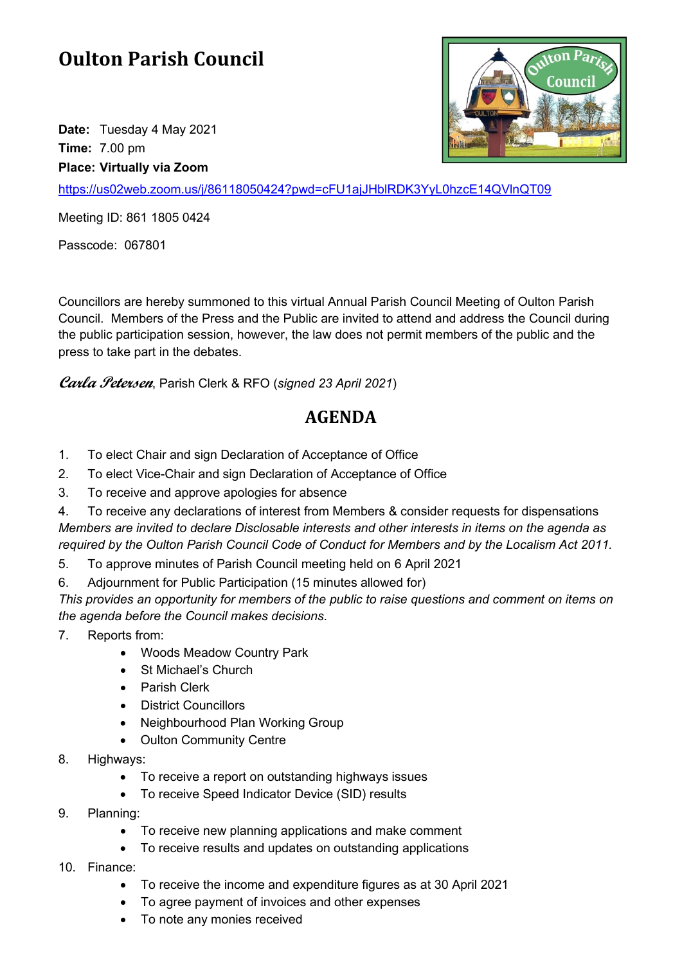## **Oulton Parish Council**

**Date:** Tuesday 4 May 2021 **Time:** 7.00 pm **Place: Virtually via Zoom**



<https://us02web.zoom.us/j/86118050424?pwd=cFU1ajJHblRDK3YyL0hzcE14QVlnQT09>

Meeting ID: 861 1805 0424

Passcode: 067801

Councillors are hereby summoned to this virtual Annual Parish Council Meeting of Oulton Parish Council. Members of the Press and the Public are invited to attend and address the Council during the public participation session, however, the law does not permit members of the public and the press to take part in the debates.

**Carla Petersen**, Parish Clerk & RFO (*signed 23 April 2021*)

## **AGENDA**

- 1. To elect Chair and sign Declaration of Acceptance of Office
- 2. To elect Vice-Chair and sign Declaration of Acceptance of Office
- 3. To receive and approve apologies for absence

4. To receive any declarations of interest from Members & consider requests for dispensations *Members are invited to declare Disclosable interests and other interests in items on the agenda as required by the Oulton Parish Council Code of Conduct for Members and by the Localism Act 2011.*

5. To approve minutes of Parish Council meeting held on 6 April 2021

6. Adjournment for Public Participation (15 minutes allowed for)

*This provides an opportunity for members of the public to raise questions and comment on items on the agenda before the Council makes decisions.*

- 7. Reports from:
	- Woods Meadow Country Park
	- St Michael's Church
	- Parish Clerk
	- District Councillors
	- Neighbourhood Plan Working Group
	- Oulton Community Centre
- 8. Highways:
	- To receive a report on outstanding highways issues
	- To receive Speed Indicator Device (SID) results
- 9. Planning:
	- To receive new planning applications and make comment
	- To receive results and updates on outstanding applications
- 10. Finance:
	- To receive the income and expenditure figures as at 30 April 2021
	- To agree payment of invoices and other expenses
	- To note any monies received